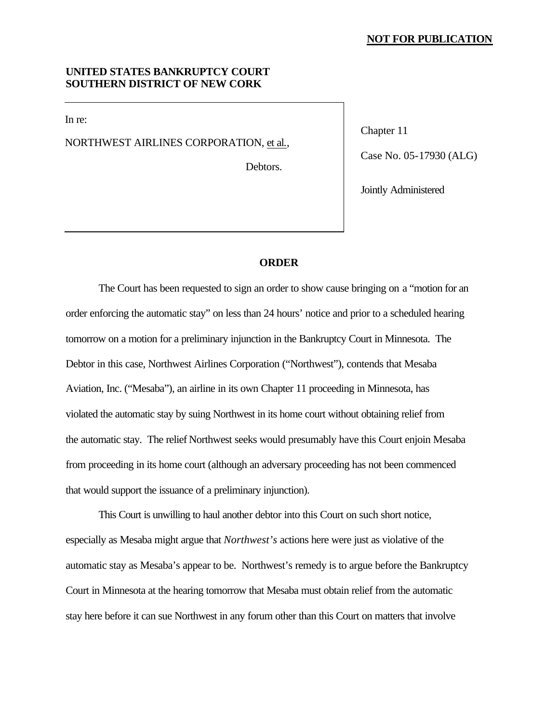## **NOT FOR PUBLICATION**

## **UNITED STATES BANKRUPTCY COURT SOUTHERN DISTRICT OF NEW CORK**

In re:

NORTHWEST AIRLINES CORPORATION, et al.,

Debtors.

Chapter 11

Case No. 05-17930 (ALG)

Jointly Administered

## **ORDER**

The Court has been requested to sign an order to show cause bringing on a "motion for an order enforcing the automatic stay" on less than 24 hours' notice and prior to a scheduled hearing tomorrow on a motion for a preliminary injunction in the Bankruptcy Court in Minnesota. The Debtor in this case, Northwest Airlines Corporation ("Northwest"), contends that Mesaba Aviation, Inc. ("Mesaba"), an airline in its own Chapter 11 proceeding in Minnesota, has violated the automatic stay by suing Northwest in its home court without obtaining relief from the automatic stay. The relief Northwest seeks would presumably have this Court enjoin Mesaba from proceeding in its home court (although an adversary proceeding has not been commenced that would support the issuance of a preliminary injunction).

This Court is unwilling to haul another debtor into this Court on such short notice, especially as Mesaba might argue that *Northwest's* actions here were just as violative of the automatic stay as Mesaba's appear to be. Northwest's remedy is to argue before the Bankruptcy Court in Minnesota at the hearing tomorrow that Mesaba must obtain relief from the automatic stay here before it can sue Northwest in any forum other than this Court on matters that involve